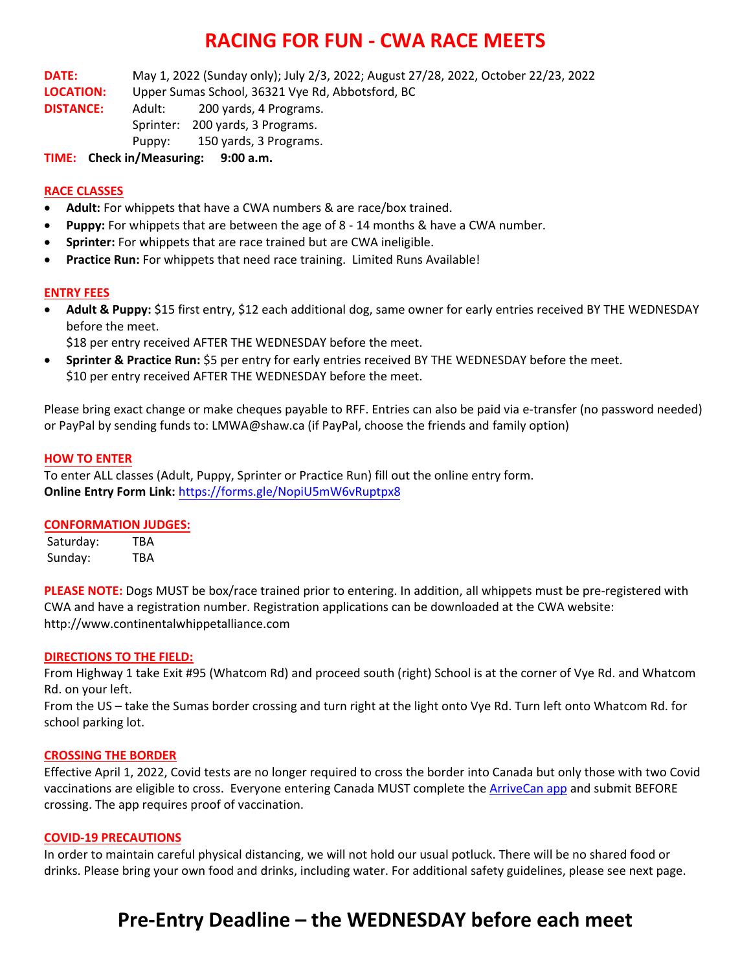### **RACING FOR FUN - CWA RACE MEETS**

**DATE:** May 1, 2022 (Sunday only); July 2/3, 2022; August 27/28, 2022, October 22/23, 2022

**LOCATION:** Upper Sumas School, 36321 Vye Rd, Abbotsford, BC

**DISTANCE:** Adult: 200 yards, 4 Programs. Sprinter: 200 yards, 3 Programs.

Puppy: 150 yards, 3 Programs.

**TIME: Check in/Measuring: 9:00 a.m.**

### **RACE CLASSES**

- **Adult:** For whippets that have a CWA numbers & are race/box trained.
- **Puppy:** For whippets that are between the age of 8 14 months & have a CWA number.
- **Sprinter:** For whippets that are race trained but are CWA ineligible.
- **Practice Run:** For whippets that need race training. Limited Runs Available!

#### **ENTRY FEES**

• **Adult & Puppy:** \$15 first entry, \$12 each additional dog, same owner for early entries received BY THE WEDNESDAY before the meet.

\$18 per entry received AFTER THE WEDNESDAY before the meet.

• **Sprinter & Practice Run:** \$5 per entry for early entries received BY THE WEDNESDAY before the meet. \$10 per entry received AFTER THE WEDNESDAY before the meet.

Please bring exact change or make cheques payable to RFF. Entries can also be paid via e-transfer (no password needed) or PayPal by sending funds to: LMWA@shaw.ca (if PayPal, choose the friends and family option)

#### **HOW TO ENTER**

To enter ALL classes (Adult, Puppy, Sprinter or Practice Run) fill out the online entry form. **Online Entry Form Link:** <https://forms.gle/NopiU5mW6vRuptpx8>

#### **CONFORMATION JUDGES:**

Saturday: TBA Sunday: TBA

**PLEASE NOTE:** Dogs MUST be box/race trained prior to entering. In addition, all whippets must be pre-registered with CWA and have a registration number. Registration applications can be downloaded at the CWA website: http://www.continentalwhippetalliance.com

#### **DIRECTIONS TO THE FIELD:**

From Highway 1 take Exit #95 (Whatcom Rd) and proceed south (right) School is at the corner of Vye Rd. and Whatcom Rd. on your left.

From the US – take the Sumas border crossing and turn right at the light onto Vye Rd. Turn left onto Whatcom Rd. for school parking lot.

#### **CROSSING THE BORDER**

Effective April 1, 2022, Covid tests are no longer required to cross the border into Canada but only those with two Covid vaccinations are eligible to cross. Everyone entering Canada MUST complete the [ArriveCan app](https://www.canada.ca/en/public-health/services/diseases/coronavirus-disease-covid-19/arrivecan.html) and submit BEFORE crossing. The app requires proof of vaccination.

#### **COVID-19 PRECAUTIONS**

In order to maintain careful physical distancing, we will not hold our usual potluck. There will be no shared food or drinks. Please bring your own food and drinks, including water. For additional safety guidelines, please see next page.

## **Pre-Entry Deadline – the WEDNESDAY before each meet**